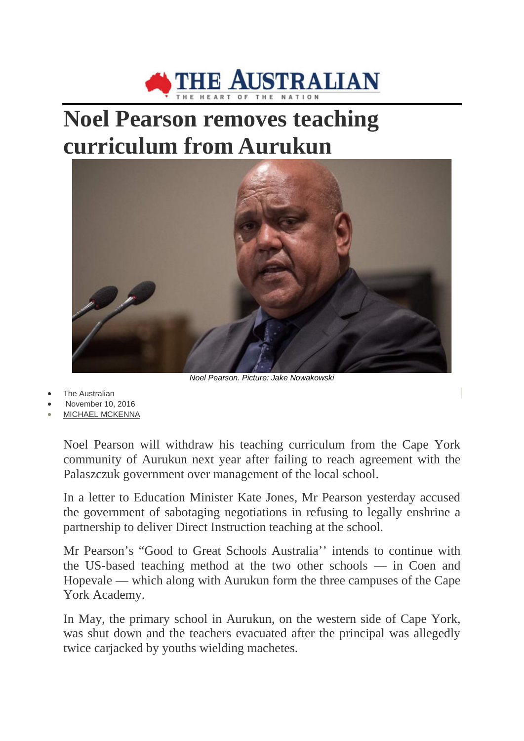

## **Noel Pearson removes teaching curriculum from Aurukun**



*Noel Pearson. Picture: Jake Nowakowski*

- **The Australian**
- November 10, 2016
- [MICHAEL MCKENNA](http://www.theaustralian.com.au/author/Michael+McKenna)

Noel Pearson will withdraw his teaching curriculum from the Cape York community of Aurukun next year after failing to reach agreement with the Palaszczuk government over management of the local school.

In a letter to Education Minister Kate Jones, Mr Pearson yesterday accused the government of sabotaging negotiations in refusing to legally enshrine a partnership to deliver Direct Instruction teaching at the school.

Mr Pearson's "Good to Great Schools Australia'' intends to continue with the US-based teaching method at the two other schools — in Coen and Hopevale — which along with Aurukun form the three campuses of the Cape York Academy.

In May, the primary school in Aurukun, on the western side of Cape York, was shut down and the teachers evacuated after the principal was allegedly twice carjacked by youths wielding machetes.